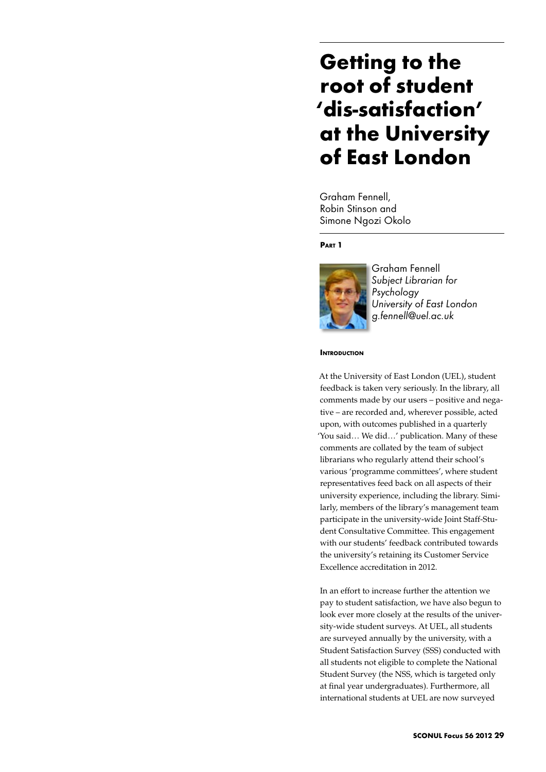# **Getting to the root of student 'dis-satisfaction' at the University of East London**

Graham Fennell, Robin Stinson and Simone Ngozi Okolo

# **Part 1**



Graham Fennell *Subject Librarian for Psychology University of East London g.fennell@uel.ac.uk*

#### **INTRODUCTION**

At the University of East London (UEL), student feedback is taken very seriously. In the library, all comments made by our users – positive and negative – are recorded and, wherever possible, acted upon, with outcomes published in a quarterly 'You said… We did…' publication. Many of these comments are collated by the team of subject librarians who regularly attend their school's various 'programme committees', where student representatives feed back on all aspects of their university experience, including the library. Similarly, members of the library's management team participate in the university-wide Joint Staff-Student Consultative Committee. This engagement with our students' feedback contributed towards the university's retaining its Customer Service Excellence accreditation in 2012.

In an effort to increase further the attention we pay to student satisfaction, we have also begun to look ever more closely at the results of the university-wide student surveys. At UEL, all students are surveyed annually by the university, with a Student Satisfaction Survey (SSS) conducted with all students not eligible to complete the National Student Survey (the NSS, which is targeted only at final year undergraduates). Furthermore, all international students at UEL are now surveyed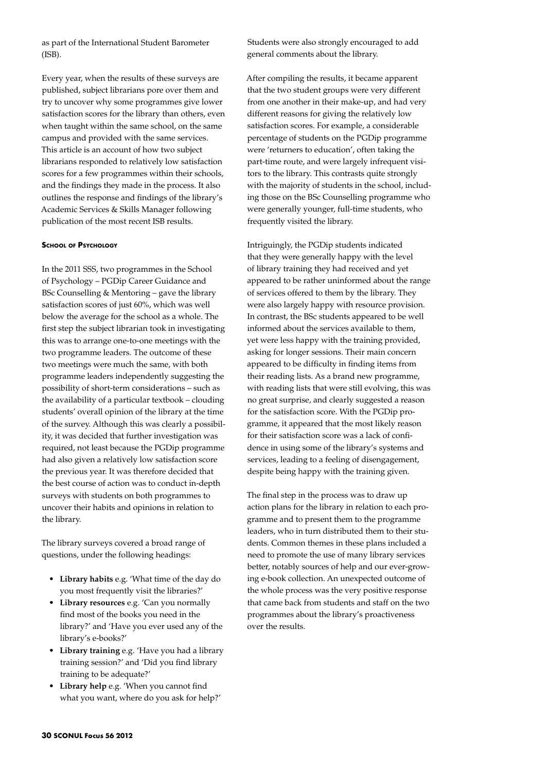as part of the International Student Barometer (ISB).

Every year, when the results of these surveys are published, subject librarians pore over them and try to uncover why some programmes give lower satisfaction scores for the library than others, even when taught within the same school, on the same campus and provided with the same services. This article is an account of how two subject librarians responded to relatively low satisfaction scores for a few programmes within their schools, and the findings they made in the process. It also outlines the response and findings of the library's Academic Services & Skills Manager following publication of the most recent ISB results.

#### **School of Psychology**

In the 2011 SSS, two programmes in the School of Psychology – PGDip Career Guidance and BSc Counselling & Mentoring – gave the library satisfaction scores of just 60%, which was well below the average for the school as a whole. The first step the subject librarian took in investigating this was to arrange one-to-one meetings with the two programme leaders. The outcome of these two meetings were much the same, with both programme leaders independently suggesting the possibility of short-term considerations – such as the availability of a particular textbook – clouding students' overall opinion of the library at the time of the survey. Although this was clearly a possibility, it was decided that further investigation was required, not least because the PGDip programme had also given a relatively low satisfaction score the previous year. It was therefore decided that the best course of action was to conduct in-depth surveys with students on both programmes to uncover their habits and opinions in relation to the library.

The library surveys covered a broad range of questions, under the following headings:

- • **Library habits** e.g. 'What time of the day do you most frequently visit the libraries?'
- • **Library resources** e.g. 'Can you normally find most of the books you need in the library?' and 'Have you ever used any of the library's e-books?'
- • **Library training** e.g. 'Have you had a library training session?' and 'Did you find library training to be adequate?'
- • **Library help** e.g. 'When you cannot find what you want, where do you ask for help?'

Students were also strongly encouraged to add general comments about the library.

After compiling the results, it became apparent that the two student groups were very different from one another in their make-up, and had very different reasons for giving the relatively low satisfaction scores. For example, a considerable percentage of students on the PGDip programme were 'returners to education', often taking the part-time route, and were largely infrequent visitors to the library. This contrasts quite strongly with the majority of students in the school, including those on the BSc Counselling programme who were generally younger, full-time students, who frequently visited the library.

Intriguingly, the PGDip students indicated that they were generally happy with the level of library training they had received and yet appeared to be rather uninformed about the range of services offered to them by the library. They were also largely happy with resource provision. In contrast, the BSc students appeared to be well informed about the services available to them, yet were less happy with the training provided, asking for longer sessions. Their main concern appeared to be difficulty in finding items from their reading lists. As a brand new programme, with reading lists that were still evolving, this was no great surprise, and clearly suggested a reason for the satisfaction score. With the PGDip programme, it appeared that the most likely reason for their satisfaction score was a lack of confidence in using some of the library's systems and services, leading to a feeling of disengagement, despite being happy with the training given.

The final step in the process was to draw up action plans for the library in relation to each programme and to present them to the programme leaders, who in turn distributed them to their students. Common themes in these plans included a need to promote the use of many library services better, notably sources of help and our ever-growing e-book collection. An unexpected outcome of the whole process was the very positive response that came back from students and staff on the two programmes about the library's proactiveness over the results.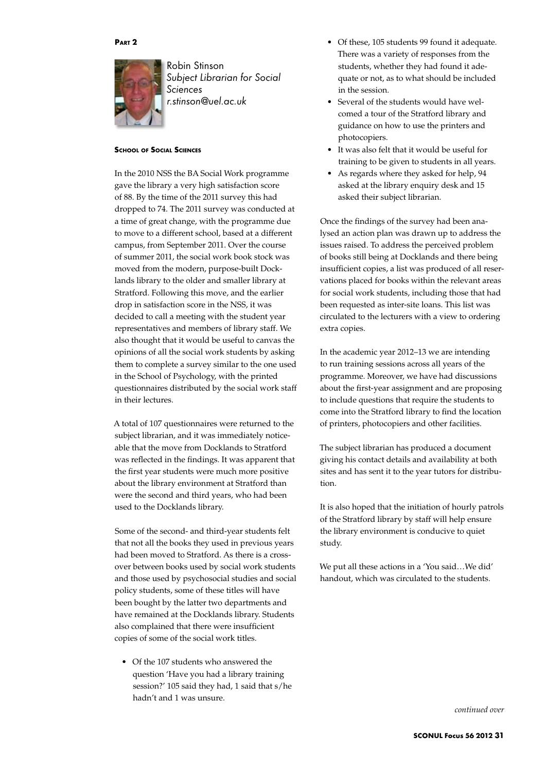#### **Part 2**



Robin Stinson *Subject Librarian for Social Sciences r.stinson@uel.ac.uk*

### **School of Social Sciences**

In the 2010 NSS the BA Social Work programme gave the library a very high satisfaction score of 88. By the time of the 2011 survey this had dropped to 74. The 2011 survey was conducted at a time of great change, with the programme due to move to a different school, based at a different campus, from September 2011. Over the course of summer 2011, the social work book stock was moved from the modern, purpose-built Docklands library to the older and smaller library at Stratford. Following this move, and the earlier drop in satisfaction score in the NSS, it was decided to call a meeting with the student year representatives and members of library staff. We also thought that it would be useful to canvas the opinions of all the social work students by asking them to complete a survey similar to the one used in the School of Psychology, with the printed questionnaires distributed by the social work staff in their lectures.

A total of 107 questionnaires were returned to the subject librarian, and it was immediately noticeable that the move from Docklands to Stratford was reflected in the findings. It was apparent that the first year students were much more positive about the library environment at Stratford than were the second and third years, who had been used to the Docklands library.

Some of the second- and third-year students felt that not all the books they used in previous years had been moved to Stratford. As there is a crossover between books used by social work students and those used by psychosocial studies and social policy students, some of these titles will have been bought by the latter two departments and have remained at the Docklands library. Students also complained that there were insufficient copies of some of the social work titles.

• Of the 107 students who answered the question 'Have you had a library training session?' 105 said they had, 1 said that s/he hadn't and 1 was unsure.

- • Of these, 105 students 99 found it adequate. There was a variety of responses from the students, whether they had found it adequate or not, as to what should be included in the session.
- Several of the students would have welcomed a tour of the Stratford library and guidance on how to use the printers and photocopiers.
- • It was also felt that it would be useful for training to be given to students in all years.
- As regards where they asked for help, 94 asked at the library enquiry desk and 15 asked their subject librarian.

Once the findings of the survey had been analysed an action plan was drawn up to address the issues raised. To address the perceived problem of books still being at Docklands and there being insufficient copies, a list was produced of all reservations placed for books within the relevant areas for social work students, including those that had been requested as inter-site loans. This list was circulated to the lecturers with a view to ordering extra copies.

In the academic year 2012–13 we are intending to run training sessions across all years of the programme. Moreover, we have had discussions about the first-year assignment and are proposing to include questions that require the students to come into the Stratford library to find the location of printers, photocopiers and other facilities.

The subject librarian has produced a document giving his contact details and availability at both sites and has sent it to the year tutors for distribution.

It is also hoped that the initiation of hourly patrols of the Stratford library by staff will help ensure the library environment is conducive to quiet study.

We put all these actions in a 'You said…We did' handout, which was circulated to the students.

*continued over*